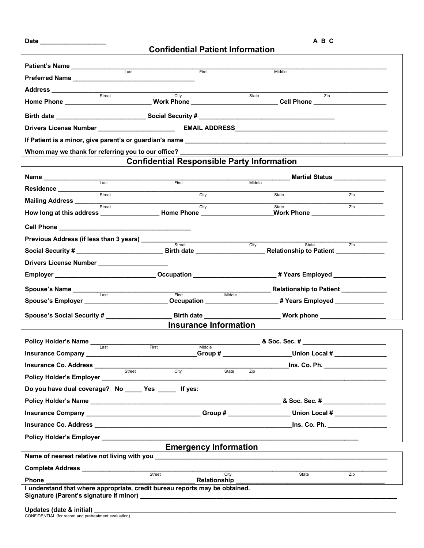| Patient's Name ______________                                                    |                                                   |                                                                                                                                                                                                                                                |  |  |  |
|----------------------------------------------------------------------------------|---------------------------------------------------|------------------------------------------------------------------------------------------------------------------------------------------------------------------------------------------------------------------------------------------------|--|--|--|
| Last                                                                             | First                                             | Middle                                                                                                                                                                                                                                         |  |  |  |
| Address ______________                                                           |                                                   |                                                                                                                                                                                                                                                |  |  |  |
| Street                                                                           | City                                              | State<br>$\overline{Z}$ ip<br>Home Phone ____________________________Work Phone __________________________Cell Phone _____________                                                                                                             |  |  |  |
| Birth date _____________________________Social Security # ______________________ |                                                   |                                                                                                                                                                                                                                                |  |  |  |
|                                                                                  |                                                   |                                                                                                                                                                                                                                                |  |  |  |
|                                                                                  |                                                   |                                                                                                                                                                                                                                                |  |  |  |
|                                                                                  |                                                   |                                                                                                                                                                                                                                                |  |  |  |
|                                                                                  | <b>Confidential Responsible Party Information</b> |                                                                                                                                                                                                                                                |  |  |  |
| Name ________________                                                            |                                                   | Martial Status <b>Martial</b>                                                                                                                                                                                                                  |  |  |  |
| Last<br>Residence _________________                                              | First                                             | Middle                                                                                                                                                                                                                                         |  |  |  |
| Street<br>Mailing Address __________                                             | City                                              | Zip<br>State                                                                                                                                                                                                                                   |  |  |  |
| Street                                                                           | City                                              | State<br>Zip<br>Work Phone Management Control Management Control Management Control Management Control Management Control Management Control Management Control Management Control Management Control Management Control Management Control Ma |  |  |  |
|                                                                                  |                                                   |                                                                                                                                                                                                                                                |  |  |  |
| Previous Address (if less than 3 years) _________                                |                                                   |                                                                                                                                                                                                                                                |  |  |  |
|                                                                                  | Street                                            | City<br>State<br>$\overline{Zip}$                                                                                                                                                                                                              |  |  |  |
| Drivers License Number ____________________                                      |                                                   |                                                                                                                                                                                                                                                |  |  |  |
|                                                                                  |                                                   | Employer _________________________________Occupation _________________________# Years Employed ___________                                                                                                                                     |  |  |  |
| Spouse's Name _______                                                            |                                                   | Relationship to Patient ___________                                                                                                                                                                                                            |  |  |  |
| Last                                                                             | Middle<br>First                                   | Spouse's Employer _________________________Occupation ___________________# Years Employed ______________                                                                                                                                       |  |  |  |
| Spouse's Social Security # __________                                            | Birth date                                        | _____ Work phone _________________                                                                                                                                                                                                             |  |  |  |
|                                                                                  | <b>Insurance Information</b>                      |                                                                                                                                                                                                                                                |  |  |  |
|                                                                                  |                                                   |                                                                                                                                                                                                                                                |  |  |  |
| Policy Holder's Name<br>Last                                                     | Middle<br>First                                   | <b>EXECUTE:</b> 8. Soc. Sec. #                                                                                                                                                                                                                 |  |  |  |
|                                                                                  |                                                   | Croup # Union Local #                                                                                                                                                                                                                          |  |  |  |
| Insurance Co. Address ________<br>Street                                         | City<br>State                                     | <u>_____ Ins. Co. Ph. _____________</u><br>Zip                                                                                                                                                                                                 |  |  |  |
| Policy Holder's Employer ________                                                |                                                   |                                                                                                                                                                                                                                                |  |  |  |
| Do you have dual coverage? No _____ Yes _____ If yes:                            |                                                   |                                                                                                                                                                                                                                                |  |  |  |
|                                                                                  |                                                   |                                                                                                                                                                                                                                                |  |  |  |
|                                                                                  |                                                   |                                                                                                                                                                                                                                                |  |  |  |
|                                                                                  |                                                   | <u>Ins. Co. Ph. _______________</u>                                                                                                                                                                                                            |  |  |  |
|                                                                                  |                                                   |                                                                                                                                                                                                                                                |  |  |  |
| <b>Emergency Information</b>                                                     |                                                   |                                                                                                                                                                                                                                                |  |  |  |
| Complete Address __________________                                              |                                                   |                                                                                                                                                                                                                                                |  |  |  |
|                                                                                  | Street<br>City                                    | $\overline{Zip}$<br>State                                                                                                                                                                                                                      |  |  |  |
|                                                                                  |                                                   |                                                                                                                                                                                                                                                |  |  |  |
|                                                                                  |                                                   |                                                                                                                                                                                                                                                |  |  |  |
| Undates (date & initial)                                                         |                                                   |                                                                                                                                                                                                                                                |  |  |  |

**Date \_\_\_\_\_\_\_\_\_\_\_\_\_\_\_\_\_\_\_ A B C** 

**Confidential Patient Information**

| <b>Opuales</b> (date a miliar)                        |
|-------------------------------------------------------|
| CONFIDENTIAL (for record and pretreatment evaluation) |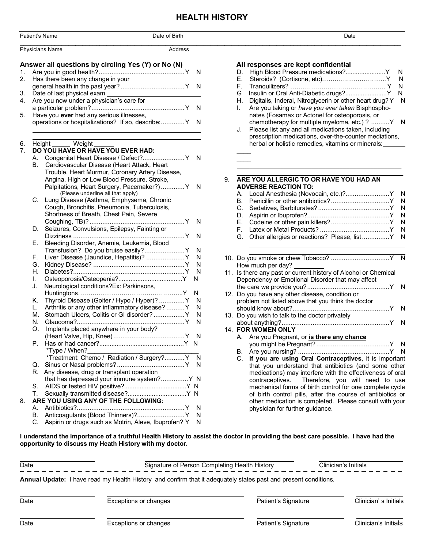## **HEALTH HISTORY**

|                            | Patient's Name                                                                                                                                                                                                                                                                                                             | Date of Birth                                                                                                 | Date                                                                                                                                                                                                                                                                                                                                                                                                                                                        |
|----------------------------|----------------------------------------------------------------------------------------------------------------------------------------------------------------------------------------------------------------------------------------------------------------------------------------------------------------------------|---------------------------------------------------------------------------------------------------------------|-------------------------------------------------------------------------------------------------------------------------------------------------------------------------------------------------------------------------------------------------------------------------------------------------------------------------------------------------------------------------------------------------------------------------------------------------------------|
|                            | Physicians Name                                                                                                                                                                                                                                                                                                            | Address                                                                                                       |                                                                                                                                                                                                                                                                                                                                                                                                                                                             |
| 1.<br>2.<br>3.<br>4.<br>5. | Answer all questions by circling Yes (Y) or No (N)<br>Has there been any change in your<br>Date of last physical exam _<br>Are you now under a physician's care for<br>Have you ever had any serious illnesses,<br>operations or hospitalizations? If so, describe: Y N                                                    | <u> 1989 - Johann Barbara, martin a</u>                                                                       | All responses are kept confidential<br>High Blood Pressure medications?Y<br>D.<br><sub>N</sub><br>Е.<br>N<br>F.<br>G<br>N.<br>Digitalis, Inderal, Nitroglycerin or other heart drug? Y N<br>Η.<br>Are you taking or have you ever taken Bisphospho-<br>I.<br>nates (Fosamax or Actonel for osteoporosis, or<br>chemotherapy for multiple myeloma, etc.) ?  Y N<br>Please list any and all medications taken, including<br>J.                                |
| 6.<br>7.                   | Height Weight<br>DO YOU HAVE OR HAVE YOU EVER HAD:<br>A. Congenital Heart Disease / Defect? Y N<br>Cardiovascular Disease (Heart Attack, Heart<br>В.<br>Trouble, Heart Murmur, Coronary Artery Disease,                                                                                                                    |                                                                                                               | prescription medications, over-the-counter mediations,<br>herbal or holistic remedies, vitamins or minerals:                                                                                                                                                                                                                                                                                                                                                |
|                            | Angina, High or Low Blood Pressure, Stroke,<br>(Please underline all that apply)<br>C. Lung Disease (Asthma, Emphysema, Chronic<br>Cough, Bronchitis, Pneumonia, Tuberculosis,<br>Shortness of Breath, Chest Pain, Severe<br>D. Seizures, Convulsions, Epilepsy, Fainting or<br>Bleeding Disorder, Anemia, Leukemia, Blood | Palpitations, Heart Surgery, Pacemaker?) Y N                                                                  | ARE YOU ALLERGIC TO OR HAVE YOU HAD AN<br>9.<br><b>ADVERSE REACTION TO:</b><br>Local Anesthesia (Novocain, etc.)? Y N<br>А.<br>В.<br>C.<br>D.<br>Е.<br>F.<br>Other allergies or reactions? Please, list Y N<br>G.                                                                                                                                                                                                                                           |
|                            | F.<br>G.<br>Н.<br>I.<br>Neurological conditions?Ex: Parkinsons,<br>J.                                                                                                                                                                                                                                                      | Transfusion? Do you bruise easily? Y N<br>Liver Disease (Jaundice, Hepatitis)?  Y N                           | How much per day?<br>11. Is there any past or current history of Alcohol or Chemical<br>Dependency or Emotional Disorder that may affect                                                                                                                                                                                                                                                                                                                    |
|                            | Thyroid Disease (Goiter / Hypo / Hyper)? Y<br>Κ.<br>Arthritis or any other inflammatory disease?  Y<br>L.<br>M. Stomach Ulcers, Colitis or GI disorder? Y<br>N.<br>Implants placed anywhere in your body?<br>O.<br>*Type / When?                                                                                           | -N<br><sub>N</sub><br><sup>N</sup>                                                                            | 12. Do you have any other disease, condition or<br>problem not listed above that you think the doctor<br>13. Do you wish to talk to the doctor privately<br>14. FOR WOMEN ONLY<br>A. Are you Pregnant, or is there any chance                                                                                                                                                                                                                               |
| 8.                         | R. Any disease, drug or transplant operation<br>ARE YOU USING ANY OF THE FOLLOWING:<br>B. Anticoagulants (Blood Thinners)? Y N<br>C. Aspirin or drugs such as Motrin, Aleve, Ibuprofen? Y N                                                                                                                                | villype / vvnen?<br>*Treatment: Chemo / Radiation / Surgery?Y N<br>that has depressed your immune system? Y N | C. If you are using Oral Contraceptives, it is important<br>that you understand that antibiotics (and some other<br>medications) may interfere with the effectiveness of oral<br>contraceptives.<br>Therefore, you will need to use<br>mechanical forms of birth control for one complete cycle<br>of birth control pills, after the course of antibiotics or<br>other medication is completed. Please consult with your<br>physician for further guidance. |
|                            | opportunity to discuss my Heath History with my doctor.                                                                                                                                                                                                                                                                    |                                                                                                               | I understand the importance of a truthful Health History to assist the doctor in providing the best care possible. I have had the                                                                                                                                                                                                                                                                                                                           |

| Date |                                                                                                                        | Signature of Person Completing Health History | Clinician's Initials |  |
|------|------------------------------------------------------------------------------------------------------------------------|-----------------------------------------------|----------------------|--|
|      | <b>Annual Update:</b> I have read my Health History and confirm that it adequately states past and present conditions. |                                               |                      |  |
| Date | Exceptions or changes                                                                                                  | Patient's Signature                           | Clinician's Initials |  |
| Date | Exceptions or changes                                                                                                  | Patient's Signature                           | Clinician's Initials |  |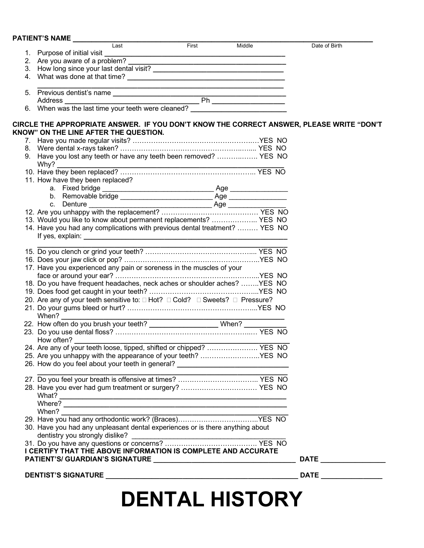PATIENT'S NAME

| Last                                                                                        | <b>First</b> | Middle | Date of Birth |
|---------------------------------------------------------------------------------------------|--------------|--------|---------------|
|                                                                                             |              |        |               |
| 2. Are you aware of a problem?                                                              |              |        |               |
|                                                                                             |              |        |               |
|                                                                                             |              |        |               |
|                                                                                             |              |        |               |
|                                                                                             |              |        |               |
|                                                                                             |              |        |               |
| 5. Previous dentist's name<br>Address<br>6. When was the last time your teeth were cleaned? |              |        |               |
| CIRCLE THE APPROPRIATE ANSWER. IF YOU DON'T KNOW THE CORRECT ANSWER, PLEASE WRITE "DON'T    |              |        |               |
| KNOW" ON THE LINE AFTER THE QUESTION.                                                       |              |        |               |
|                                                                                             |              |        |               |
|                                                                                             |              |        |               |
| 9. Have you lost any teeth or have any teeth been removed?  YES NO                          |              |        |               |
|                                                                                             |              |        |               |
| 11. How have they been replaced?                                                            |              |        |               |
|                                                                                             |              |        |               |
|                                                                                             |              |        |               |
|                                                                                             |              |        |               |
|                                                                                             |              |        |               |
| 13. Would you like to know about permanent replacements?  YES NO                            |              |        |               |
| 14. Have you had any complications with previous dental treatment?  YES NO                  |              |        |               |
|                                                                                             |              |        |               |
|                                                                                             |              |        |               |
|                                                                                             |              |        |               |
| 17. Have you experienced any pain or soreness in the muscles of your                        |              |        |               |
| 18. Do you have frequent headaches, neck aches or shoulder aches? YES NO                    |              |        |               |
|                                                                                             |              |        |               |
| 20. Are any of your teeth sensitive to: □ Hot? □ Cold? □ Sweets? □ Pressure?                |              |        |               |
|                                                                                             |              |        |               |
|                                                                                             |              |        |               |
|                                                                                             |              |        |               |
|                                                                                             |              |        |               |
| 25. Are you unhappy with the appearance of your teeth? YES NO                               |              |        |               |
| 26. How do you feel about your teeth in general? _______________________________            |              |        |               |
|                                                                                             |              |        |               |
|                                                                                             |              |        |               |
|                                                                                             |              |        |               |
| When?                                                                                       |              |        |               |
| 30. Have you had any unpleasant dental experiences or is there anything about               |              |        |               |
|                                                                                             |              |        |               |
| I CERTIFY THAT THE ABOVE INFORMATION IS COMPLETE AND ACCURATE                               |              |        |               |
|                                                                                             |              |        |               |
|                                                                                             |              |        |               |
|                                                                                             |              |        |               |

# **DENTAL HISTORY**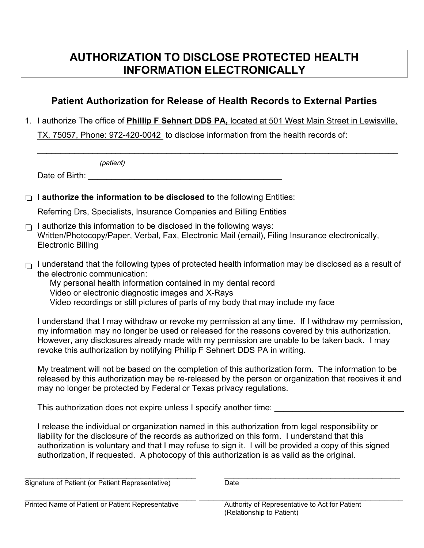## **AUTHORIZATION TO DISCLOSE PROTECTED HEALTH INFORMATION ELECTRONICALLY**

## **Patient Authorization for Release of Health Records to External Parties**

1. I authorize The office of **Phillip F Sehnert DDS PA,** located at 501 West Main Street in Lewisville,

 $\_$ 

TX, 75057, Phone: 972-420-0042 to disclose information from the health records of:

*(patient)*

Date of Birth: \_\_\_\_\_\_\_\_\_\_\_\_\_\_\_\_\_\_\_\_\_\_\_\_\_\_\_\_\_\_\_\_\_\_\_\_\_\_\_\_\_\_

**I** I authorize the information to be disclosed to the following Entities:

Referring Drs, Specialists, Insurance Companies and Billing Entities

- $\Gamma$ | authorize this information to be disclosed in the following ways: Written/Photocopy/Paper, Verbal, Fax, Electronic Mail (email), Filing Insurance electronically, Electronic Billing
- $\Gamma_1$  I understand that the following types of protected health information may be disclosed as a result of the electronic communication:

My personal health information contained in my dental record Video or electronic diagnostic images and X-Rays Video recordings or still pictures of parts of my body that may include my face

I understand that I may withdraw or revoke my permission at any time. If I withdraw my permission, my information may no longer be used or released for the reasons covered by this authorization. However, any disclosures already made with my permission are unable to be taken back. I may revoke this authorization by notifying Phillip F Sehnert DDS PA in writing.

My treatment will not be based on the completion of this authorization form. The information to be released by this authorization may be re-released by the person or organization that receives it and may no longer be protected by Federal or Texas privacy regulations.

This authorization does not expire unless I specify another time:

I release the individual or organization named in this authorization from legal responsibility or liability for the disclosure of the records as authorized on this form. I understand that this authorization is voluntary and that I may refuse to sign it. I will be provided a copy of this signed authorization, if requested. A photocopy of this authorization is as valid as the original.

Signature of Patient (or Patient Representative) Date

 $\_$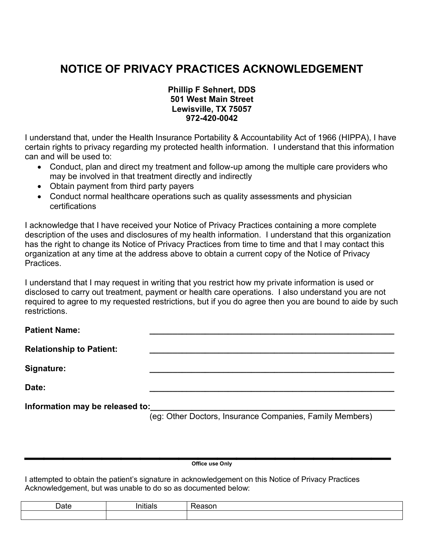## **NOTICE OF PRIVACY PRACTICES ACKNOWLEDGEMENT**

#### **Phillip F Sehnert, DDS 501 West Main Street Lewisville, TX 75057 972-420-0042**

I understand that, under the Health Insurance Portability & Accountability Act of 1966 (HIPPA), I have certain rights to privacy regarding my protected health information. I understand that this information can and will be used to:

- Conduct, plan and direct my treatment and follow-up among the multiple care providers who may be involved in that treatment directly and indirectly
- Obtain payment from third party payers
- Conduct normal healthcare operations such as quality assessments and physician certifications

I acknowledge that I have received your Notice of Privacy Practices containing a more complete description of the uses and disclosures of my health information. I understand that this organization has the right to change its Notice of Privacy Practices from time to time and that I may contact this organization at any time at the address above to obtain a current copy of the Notice of Privacy Practices.

I understand that I may request in writing that you restrict how my private information is used or disclosed to carry out treatment, payment or health care operations. I also understand you are not required to agree to my requested restrictions, but if you do agree then you are bound to aide by such restrictions.

| <b>Patient Name:</b>            |                                                          |
|---------------------------------|----------------------------------------------------------|
| <b>Relationship to Patient:</b> |                                                          |
| Signature:                      |                                                          |
| Date:                           |                                                          |
| Information may be released to: | (eg: Other Doctors, Insurance Companies, Family Members) |

 $\mathcal{L}_\text{max}$  and  $\mathcal{L}_\text{max}$  are the contract of the contract of the contract of the contract of the contract of the contract of the contract of the contract of the contract of the contract of the contract of the contr **Office use Only**

I attempted to obtain the patient's signature in acknowledgement on this Notice of Privacy Practices Acknowledgement, but was unable to do so as documented below: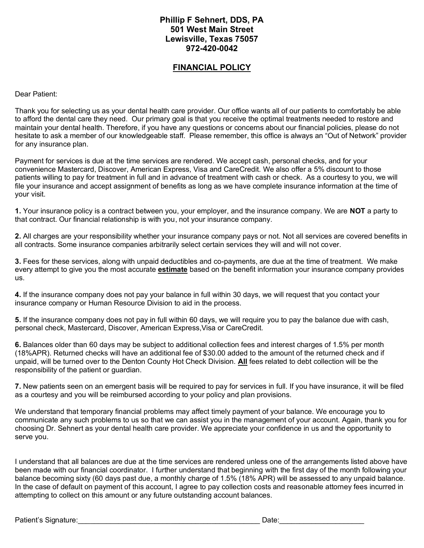#### **Phillip F Sehnert, DDS, PA 501 West Main Street Lewisville, Texas 75057 972-420-0042**

#### **FINANCIAL POLICY**

Dear Patient:

Thank you for selecting us as your dental health care provider. Our office wants all of our patients to comfortably be able to afford the dental care they need. Our primary goal is that you receive the optimal treatments needed to restore and maintain your dental health. Therefore, if you have any questions or concerns about our financial policies, please do not hesitate to ask a member of our knowledgeable staff. Please remember, this office is always an "Out of Network" provider for any insurance plan.

Payment for services is due at the time services are rendered. We accept cash, personal checks, and for your convenience Mastercard, Discover, American Express, Visa and CareCredit. We also offer a 5% discount to those patients willing to pay for treatment in full and in advance of treatment with cash or check. As a courtesy to you, we will file your insurance and accept assignment of benefits as long as we have complete insurance information at the time of your visit.

**1.** Your insurance policy is a contract between you, your employer, and the insurance company. We are **NOT** a party to that contract. Our financial relationship is with you, not your insurance company.

**2.** All charges are your responsibility whether your insurance company pays or not. Not all services are covered benefits in all contracts. Some insurance companies arbitrarily select certain services they will and will not cover.

**3.** Fees for these services, along with unpaid deductibles and co-payments, are due at the time of treatment. We make every attempt to give you the most accurate **estimate** based on the benefit information your insurance company provides us.

**4.** If the insurance company does not pay your balance in full within 30 days, we will request that you contact your insurance company or Human Resource Division to aid in the process.

**5.** If the insurance company does not pay in full within 60 days, we will require you to pay the balance due with cash, personal check, Mastercard, Discover, American Express,Visa or CareCredit.

**6.** Balances older than 60 days may be subject to additional collection fees and interest charges of 1.5% per month (18%APR). Returned checks will have an additional fee of \$30.00 added to the amount of the returned check and if unpaid, will be turned over to the Denton County Hot Check Division. **All** fees related to debt collection will be the responsibility of the patient or guardian.

**7.** New patients seen on an emergent basis will be required to pay for services in full. If you have insurance, it will be filed as a courtesy and you will be reimbursed according to your policy and plan provisions.

We understand that temporary financial problems may affect timely payment of your balance. We encourage you to communicate any such problems to us so that we can assist you in the management of your account. Again, thank you for choosing Dr. Sehnert as your dental health care provider. We appreciate your confidence in us and the opportunity to serve you.

I understand that all balances are due at the time services are rendered unless one of the arrangements listed above have been made with our financial coordinator. I further understand that beginning with the first day of the month following your balance becoming sixty (60 days past due, a monthly charge of 1.5% (18% APR) will be assessed to any unpaid balance. In the case of default on payment of this account, I agree to pay collection costs and reasonable attorney fees incurred in attempting to collect on this amount or any future outstanding account balances.